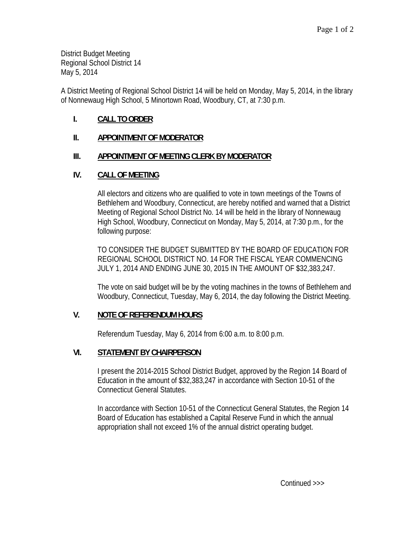District Budget Meeting Regional School District 14 May 5, 2014

A District Meeting of Regional School District 14 will be held on Monday, May 5, 2014, in the library of Nonnewaug High School, 5 Minortown Road, Woodbury, CT, at 7:30 p.m.

# **I. CALL TO ORDER**

## **II. APPOINTMENT OF MODERATOR**

## **III. APPOINTMENT OF MEETING CLERK BY MODERATOR**

## **IV. CALL OF MEETING**

All electors and citizens who are qualified to vote in town meetings of the Towns of Bethlehem and Woodbury, Connecticut, are hereby notified and warned that a District Meeting of Regional School District No. 14 will be held in the library of Nonnewaug High School, Woodbury, Connecticut on Monday, May 5, 2014, at 7:30 p.m., for the following purpose:

TO CONSIDER THE BUDGET SUBMITTED BY THE BOARD OF EDUCATION FOR REGIONAL SCHOOL DISTRICT NO. 14 FOR THE FISCAL YEAR COMMENCING JULY 1, 2014 AND ENDING JUNE 30, 2015 IN THE AMOUNT OF \$32,383,247.

The vote on said budget will be by the voting machines in the towns of Bethlehem and Woodbury, Connecticut, Tuesday, May 6, 2014, the day following the District Meeting.

#### **V. NOTE OF REFERENDUM HOURS**

Referendum Tuesday, May 6, 2014 from 6:00 a.m. to 8:00 p.m.

#### **VI. STATEMENT BY CHAIRPERSON**

I present the 2014-2015 School District Budget, approved by the Region 14 Board of Education in the amount of \$32,383,247 in accordance with Section 10-51 of the Connecticut General Statutes.

In accordance with Section 10-51 of the Connecticut General Statutes, the Region 14 Board of Education has established a Capital Reserve Fund in which the annual appropriation shall not exceed 1% of the annual district operating budget.